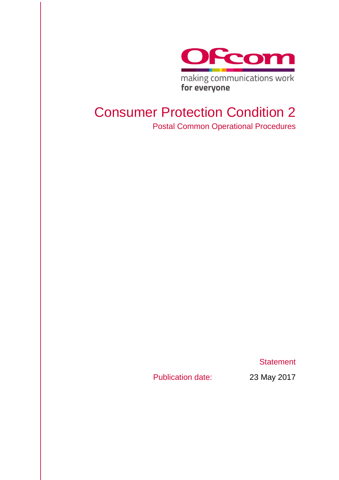

making communications work for everyone

# Consumer Protection Condition 2 Postal Common Operational Procedures

**Statement** 

Publication date: 23 May 2017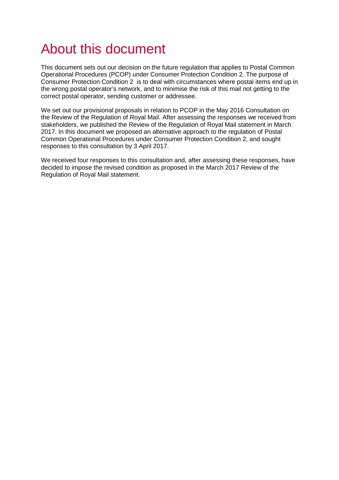# About this document

This document sets out our decision on the future regulation that applies to Postal Common Operational Procedures (PCOP) under Consumer Protection Condition 2. The purpose of Consumer Protection Condition 2 is to deal with circumstances where postal items end up in the wrong postal operator's network, and to minimise the risk of this mail not getting to the correct postal operator, sending customer or addressee.

We set out our provisional proposals in relation to PCOP in the May 2016 Consultation on the Review of the Regulation of Royal Mail. After assessing the responses we received from stakeholders, we published the Review of the Regulation of Royal Mail statement in March 2017. In this document we proposed an alternative approach to the regulation of Postal Common Operational Procedures under Consumer Protection Condition 2, and sought responses to this consultation by 3 April 2017.

We received four responses to this consultation and, after assessing these responses, have decided to impose the revised condition as proposed in the March 2017 Review of the Regulation of Royal Mail statement.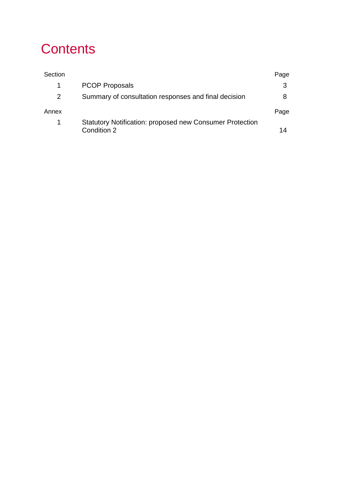# **Contents**

| Section |                                                                                | Page |
|---------|--------------------------------------------------------------------------------|------|
| 1.      | <b>PCOP Proposals</b>                                                          |      |
| 2       | Summary of consultation responses and final decision                           |      |
| Annex   |                                                                                | Page |
| 1       | <b>Statutory Notification: proposed new Consumer Protection</b><br>Condition 2 | 14   |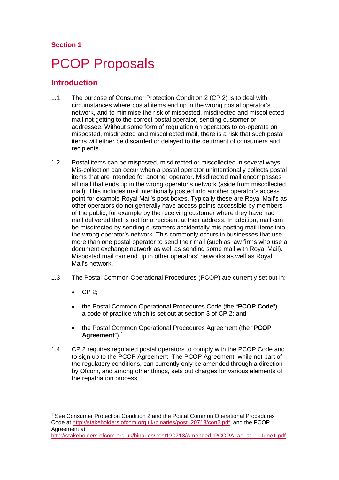## **Section 1**

# <span id="page-3-0"></span>**PCOP Proposals**

## **Introduction**

- 1.1 The purpose of Consumer Protection Condition 2 (CP 2) is to deal with circumstances where postal items end up in the wrong postal operator's network, and to minimise the risk of misposted, misdirected and miscollected mail not getting to the correct postal operator, sending customer or addressee. Without some form of regulation on operators to co-operate on misposted, misdirected and miscollected mail, there is a risk that such postal items will either be discarded or delayed to the detriment of consumers and recipients.
- 1.2 Postal items can be misposted, misdirected or miscollected in several ways. Mis-collection can occur when a postal operator unintentionally collects postal items that are intended for another operator. Misdirected mail encompasses all mail that ends up in the wrong operator's network (aside from miscollected mail). This includes mail intentionally posted into another operator's access point for example Royal Mail's post boxes. Typically these are Royal Mail's as other operators do not generally have access points accessible by members of the public, for example by the receiving customer where they have had mail delivered that is not for a recipient at their address. In addition, mail can be misdirected by sending customers accidentally mis-posting mail items into the wrong operator's network. This commonly occurs in businesses that use more than one postal operator to send their mail (such as law firms who use a document exchange network as well as sending some mail with Royal Mail). Misposted mail can end up in other operators' networks as well as Royal Mail's network.
- 1.3 The Postal Common Operational Procedures (PCOP) are currently set out in:
	- CP 2;
	- the Postal Common Operational Procedures Code (the "**PCOP Code**") a code of practice which is set out at section 3 of CP 2; and
	- the Postal Common Operational Procedures Agreement (the "**PCOP Agreement**").[1](#page-3-1)
- 1.4 CP 2 requires regulated postal operators to comply with the PCOP Code and to sign up to the PCOP Agreement. The PCOP Agreement, while not part of the regulatory conditions, can currently only be amended through a direction by Ofcom, and among other things, sets out charges for various elements of the repatriation process.

<span id="page-3-1"></span> <sup>1</sup> See Consumer Protection Condition 2 and the Postal Common Operational Procedures Code at [http://stakeholders.ofcom.org.uk/binaries/post120713/con2.pdf,](http://stakeholders.ofcom.org.uk/binaries/post120713/con2.pdf) and the PCOP Agreement at

[http://stakeholders.ofcom.org.uk/binaries/post120713/Amended\\_PCOPA\\_as\\_at\\_1\\_June1.pdf.](http://stakeholders.ofcom.org.uk/binaries/post120713/Amended_PCOPA_as_at_1_June1.pdf)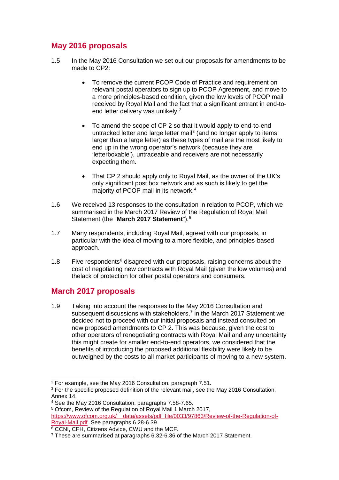# **May 2016 proposals**

- 1.5 In the May 2016 Consultation we set out our proposals for amendments to be made to CP2:
	- To remove the current PCOP Code of Practice and requirement on relevant postal operators to sign up to PCOP Agreement, and move to a more principles-based condition, given the low levels of PCOP mail received by Royal Mail and the fact that a significant entrant in end-to-end letter delivery was unlikely.<sup>[2](#page-4-0)</sup>
	- To amend the scope of CP 2 so that it would apply to end-to-end untracked letter and large letter mail<sup>[3](#page-4-1)</sup> (and no longer apply to items larger than a large letter) as these types of mail are the most likely to end up in the wrong operator's network (because they are 'letterboxable'), untraceable and receivers are not necessarily expecting them.
	- That CP 2 should apply only to Royal Mail, as the owner of the UK's only significant post box network and as such is likely to get the majority of PCOP mail in its network. [4](#page-4-2)
- 1.6 We received 13 responses to the consultation in relation to PCOP, which we summarised in the March 2017 Review of the Regulation of Royal Mail Statement (the "**March 2017 Statement**"). [5](#page-4-3)
- 1.7 Many respondents, including Royal Mail, agreed with our proposals, in particular with the idea of moving to a more flexible, and principles-based approach.
- 1.8 Five respondents $6$  disagreed with our proposals, raising concerns about the cost of negotiating new contracts with Royal Mail (given the low volumes) and thelack of protection for other postal operators and consumers.

# **March 2017 proposals**

1.9 Taking into account the responses to the May 2016 Consultation and subsequent discussions with stakeholders, [7](#page-4-5) in the March 2017 Statement we decided not to proceed with our initial proposals and instead consulted on new proposed amendments to CP 2. This was because, given the cost to other operators of renegotiating contracts with Royal Mail and any uncertainty this might create for smaller end-to-end operators, we considered that the benefits of introducing the proposed additional flexibility were likely to be outweighed by the costs to all market participants of moving to a new system.

<span id="page-4-3"></span><sup>5</sup> Ofcom, Review of the Regulation of Royal Mail 1 March 2017, [https://www.ofcom.org.uk/\\_\\_data/assets/pdf\\_file/0033/97863/Review-of-the-Regulation-of-](https://www.ofcom.org.uk/__data/assets/pdf_file/0033/97863/Review-of-the-Regulation-of-Royal-Mail.pdf)[Royal-Mail.pdf.](https://www.ofcom.org.uk/__data/assets/pdf_file/0033/97863/Review-of-the-Regulation-of-Royal-Mail.pdf) See paragraphs 6.28-6.39.

<span id="page-4-0"></span> <sup>2</sup> For example, see the May 2016 Consultation, paragraph 7.51.

<span id="page-4-1"></span><sup>&</sup>lt;sup>3</sup> For the specific proposed definition of the relevant mail, see the May 2016 Consultation, Annex 14.

<span id="page-4-2"></span><sup>4</sup> See the May 2016 Consultation, paragraphs 7.58-7.65.

<span id="page-4-4"></span><sup>6</sup> CCNI, CFH, Citizens Advice, CWU and the MCF.

<span id="page-4-5"></span><sup>7</sup> These are summarised at paragraphs 6.32-6.36 of the March 2017 Statement.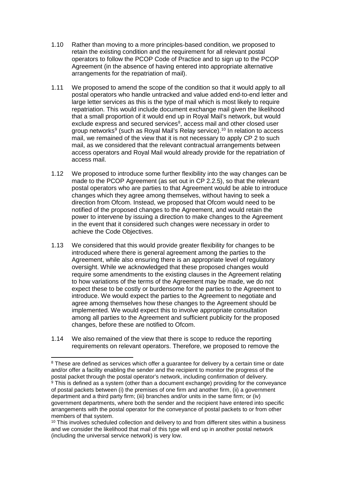- 1.10 Rather than moving to a more principles-based condition, we proposed to retain the existing condition and the requirement for all relevant postal operators to follow the PCOP Code of Practice and to sign up to the PCOP Agreement (in the absence of having entered into appropriate alternative arrangements for the repatriation of mail).
- 1.11 We proposed to amend the scope of the condition so that it would apply to all postal operators who handle untracked and value added end-to-end letter and large letter services as this is the type of mail which is most likely to require repatriation. This would include document exchange mail given the likelihood that a small proportion of it would end up in Royal Mail's network, but would exclude express and secured services<sup>[8](#page-5-0)</sup>, access mail and other closed user group networks<sup>[9](#page-5-1)</sup> (such as Royal Mail's Relay service).<sup>[10](#page-5-2)</sup> In relation to access mail, we remained of the view that it is not necessary to apply CP 2 to such mail, as we considered that the relevant contractual arrangements between access operators and Royal Mail would already provide for the repatriation of access mail.
- 1.12 We proposed to introduce some further flexibility into the way changes can be made to the PCOP Agreement (as set out in CP 2.2.5), so that the relevant postal operators who are parties to that Agreement would be able to introduce changes which they agree among themselves, without having to seek a direction from Ofcom. Instead, we proposed that Ofcom would need to be notified of the proposed changes to the Agreement, and would retain the power to intervene by issuing a direction to make changes to the Agreement in the event that it considered such changes were necessary in order to achieve the Code Objectives.
- 1.13 We considered that this would provide greater flexibility for changes to be introduced where there is general agreement among the parties to the Agreement, while also ensuring there is an appropriate level of regulatory oversight. While we acknowledged that these proposed changes would require some amendments to the existing clauses in the Agreement relating to how variations of the terms of the Agreement may be made, we do not expect these to be costly or burdensome for the parties to the Agreement to introduce. We would expect the parties to the Agreement to negotiate and agree among themselves how these changes to the Agreement should be implemented. We would expect this to involve appropriate consultation among all parties to the Agreement and sufficient publicity for the proposed changes, before these are notified to Ofcom.
- 1.14 We also remained of the view that there is scope to reduce the reporting requirements on relevant operators. Therefore, we proposed to remove the

<span id="page-5-1"></span><span id="page-5-0"></span><sup>&</sup>lt;sup>8</sup> These are defined as services which offer a quarantee for delivery by a certain time or date and/or offer a facility enabling the sender and the recipient to monitor the progress of the postal packet through the postal operator's network, including confirmation of delivery.  $9$  This is defined as a system (other than a document exchange) providing for the conveyance of postal packets between (i) the premises of one firm and another firm, (ii) a government department and a third party firm; (iii) branches and/or units in the same firm; or (iv) government departments, where both the sender and the recipient have entered into specific arrangements with the postal operator for the conveyance of postal packets to or from other members of that system.

<span id="page-5-2"></span><sup>&</sup>lt;sup>10</sup> This involves scheduled collection and delivery to and from different sites within a business and we consider the likelihood that mail of this type will end up in another postal network (including the universal service network) is very low.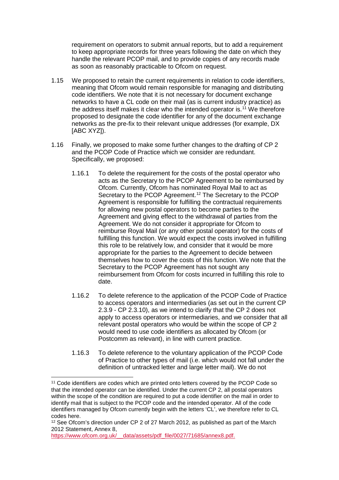requirement on operators to submit annual reports, but to add a requirement to keep appropriate records for three years following the date on which they handle the relevant PCOP mail, and to provide copies of any records made as soon as reasonably practicable to Ofcom on request.

- 1.15 We proposed to retain the current requirements in relation to code identifiers, meaning that Ofcom would remain responsible for managing and distributing code identifiers. We note that it is not necessary for document exchange networks to have a CL code on their mail (as is current industry practice) as the address itself makes it clear who the intended operator is.<sup>[11](#page-6-0)</sup> We therefore proposed to designate the code identifier for any of the document exchange networks as the pre-fix to their relevant unique addresses (for example, DX [ABC XYZ]).
- 1.16 Finally, we proposed to make some further changes to the drafting of CP 2 and the PCOP Code of Practice which we consider are redundant. Specifically, we proposed:
	- 1.16.1 To delete the requirement for the costs of the postal operator who acts as the Secretary to the PCOP Agreement to be reimbursed by Ofcom. Currently, Ofcom has nominated Royal Mail to act as Secretary to the PCOP Agreement.<sup>[12](#page-6-1)</sup> The Secretary to the PCOP Agreement is responsible for fulfilling the contractual requirements for allowing new postal operators to become parties to the Agreement and giving effect to the withdrawal of parties from the Agreement. We do not consider it appropriate for Ofcom to reimburse Royal Mail (or any other postal operator) for the costs of fulfilling this function. We would expect the costs involved in fulfilling this role to be relatively low, and consider that it would be more appropriate for the parties to the Agreement to decide between themselves how to cover the costs of this function. We note that the Secretary to the PCOP Agreement has not sought any reimbursement from Ofcom for costs incurred in fulfilling this role to date.
	- 1.16.2 To delete reference to the application of the PCOP Code of Practice to access operators and intermediaries (as set out in the current CP 2.3.9 - CP 2.3.10), as we intend to clarify that the CP 2 does not apply to access operators or intermediaries, and we consider that all relevant postal operators who would be within the scope of CP 2 would need to use code identifiers as allocated by Ofcom (or Postcomm as relevant), in line with current practice.
	- 1.16.3 To delete reference to the voluntary application of the PCOP Code of Practice to other types of mail (i.e. which would not fall under the definition of untracked letter and large letter mail). We do not

https://www.ofcom.org.uk/ data/assets/pdf\_file/0027/71685/annex8.pdf.

<span id="page-6-0"></span><sup>&</sup>lt;sup>11</sup> Code identifiers are codes which are printed onto letters covered by the PCOP Code so that the intended operator can be identified. Under the current CP 2, all postal operators within the scope of the condition are required to put a code identifier on the mail in order to identify mail that is subject to the PCOP code and the intended operator. All of the code identifiers managed by Ofcom currently begin with the letters 'CL', we therefore refer to CL codes here.

<span id="page-6-1"></span><sup>&</sup>lt;sup>12</sup> See Ofcom's direction under CP 2 of 27 March 2012, as published as part of the March 2012 Statement, Annex 8,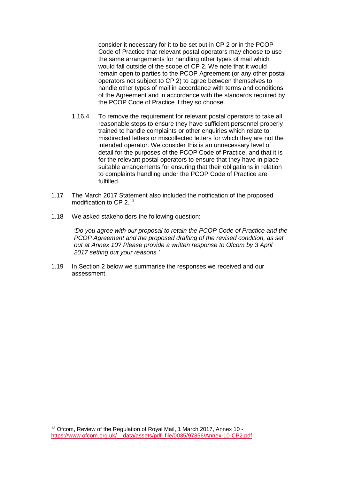consider it necessary for it to be set out in CP 2 or in the PCOP Code of Practice that relevant postal operators may choose to use the same arrangements for handling other types of mail which would fall outside of the scope of CP 2. We note that it would remain open to parties to the PCOP Agreement (or any other postal operators not subject to CP 2) to agree between themselves to handle other types of mail in accordance with terms and conditions of the Agreement and in accordance with the standards required by the PCOP Code of Practice if they so choose.

- 1.16.4 To remove the requirement for relevant postal operators to take all reasonable steps to ensure they have sufficient personnel properly trained to handle complaints or other enquiries which relate to misdirected letters or miscollected letters for which they are not the intended operator. We consider this is an unnecessary level of detail for the purposes of the PCOP Code of Practice, and that it is for the relevant postal operators to ensure that they have in place suitable arrangements for ensuring that their obligations in relation to complaints handling under the PCOP Code of Practice are fulfilled.
- 1.17 The March 2017 Statement also included the notification of the proposed modification to CP 2. [13](#page-7-0)
- 1.18 We asked stakeholders the following question:

*'Do you agree with our proposal to retain the PCOP Code of Practice and the PCOP Agreement and the proposed drafting of the revised condition, as set out at Annex 10? Please provide a written response to Ofcom by 3 April 2017 setting out your reasons.'*

1.19 In Section 2 below we summarise the responses we received and our assessment.

<span id="page-7-0"></span> <sup>13</sup> Ofcom, Review of the Regulation of Royal Mail, 1 March 2017, Annex 10 [https://www.ofcom.org.uk/\\_\\_data/assets/pdf\\_file/0035/97856/Annex-10-CP2.pdf](https://www.ofcom.org.uk/__data/assets/pdf_file/0035/97856/Annex-10-CP2.pdf)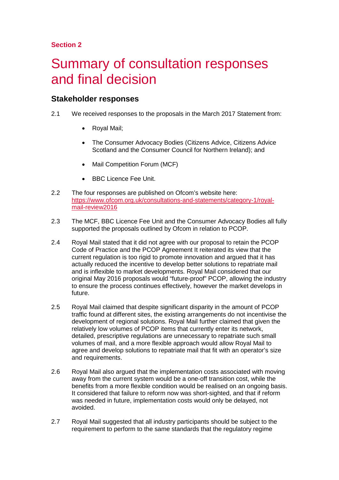## **Section 2**

# <span id="page-8-0"></span>2 Summary of consultation responses and final decision

## **Stakeholder responses**

- 2.1 We received responses to the proposals in the March 2017 Statement from:
	- Royal Mail;
	- The Consumer Advocacy Bodies (Citizens Advice, Citizens Advice Scotland and the Consumer Council for Northern Ireland); and
	- Mail Competition Forum (MCF)
	- BBC Licence Fee Unit.
- 2.2 The four responses are published on Ofcom's website here: [https://www.ofcom.org.uk/consultations-and-statements/category-1/royal](https://www.ofcom.org.uk/consultations-and-statements/category-1/royal-mail-review2016)[mail-review2016](https://www.ofcom.org.uk/consultations-and-statements/category-1/royal-mail-review2016)
- 2.3 The MCF, BBC Licence Fee Unit and the Consumer Advocacy Bodies all fully supported the proposals outlined by Ofcom in relation to PCOP.
- 2.4 Royal Mail stated that it did not agree with our proposal to retain the PCOP Code of Practice and the PCOP Agreement It reiterated its view that the current regulation is too rigid to promote innovation and argued that it has actually reduced the incentive to develop better solutions to repatriate mail and is inflexible to market developments. Royal Mail considered that our original May 2016 proposals would "future-proof" PCOP, allowing the industry to ensure the process continues effectively, however the market develops in future.
- 2.5 Royal Mail claimed that despite significant disparity in the amount of PCOP traffic found at different sites, the existing arrangements do not incentivise the development of regional solutions. Royal Mail further claimed that given the relatively low volumes of PCOP items that currently enter its network, detailed, prescriptive regulations are unnecessary to repatriate such small volumes of mail, and a more flexible approach would allow Royal Mail to agree and develop solutions to repatriate mail that fit with an operator's size and requirements.
- 2.6 Royal Mail also argued that the implementation costs associated with moving away from the current system would be a one-off transition cost, while the benefits from a more flexible condition would be realised on an ongoing basis. It considered that failure to reform now was short-sighted, and that if reform was needed in future, implementation costs would only be delayed, not avoided.
- 2.7 Royal Mail suggested that all industry participants should be subject to the requirement to perform to the same standards that the regulatory regime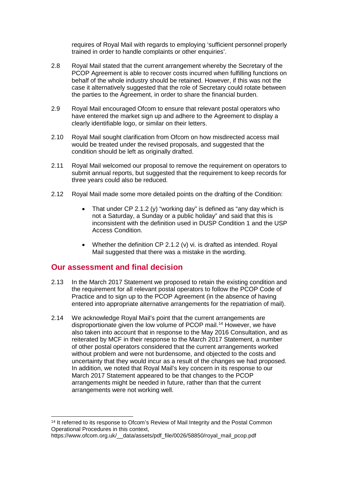requires of Royal Mail with regards to employing 'sufficient personnel properly trained in order to handle complaints or other enquiries'.

- 2.8 Royal Mail stated that the current arrangement whereby the Secretary of the PCOP Agreement is able to recover costs incurred when fulfilling functions on behalf of the whole industry should be retained. However, if this was not the case it alternatively suggested that the role of Secretary could rotate between the parties to the Agreement, in order to share the financial burden.
- 2.9 Royal Mail encouraged Ofcom to ensure that relevant postal operators who have entered the market sign up and adhere to the Agreement to display a clearly identifiable logo, or similar on their letters.
- 2.10 Royal Mail sought clarification from Ofcom on how misdirected access mail would be treated under the revised proposals, and suggested that the condition should be left as originally drafted.
- 2.11 Royal Mail welcomed our proposal to remove the requirement on operators to submit annual reports, but suggested that the requirement to keep records for three years could also be reduced.
- 2.12 Royal Mail made some more detailed points on the drafting of the Condition:
	- That under CP 2.1.2 (y) "working day" is defined as "any day which is not a Saturday, a Sunday or a public holiday" and said that this is inconsistent with the definition used in DUSP Condition 1 and the USP Access Condition.
	- Whether the definition CP 2.1.2 (v) vi. is drafted as intended. Royal Mail suggested that there was a mistake in the wording.

## **Our assessment and final decision**

- 2.13 In the March 2017 Statement we proposed to retain the existing condition and the requirement for all relevant postal operators to follow the PCOP Code of Practice and to sign up to the PCOP Agreement (in the absence of having entered into appropriate alternative arrangements for the repatriation of mail).
- 2.14 We acknowledge Royal Mail's point that the current arrangements are disproportionate given the low volume of PCOP mail.[14](#page-9-0) However, we have also taken into account that in response to the May 2016 Consultation, and as reiterated by MCF in their response to the March 2017 Statement, a number of other postal operators considered that the current arrangements worked without problem and were not burdensome, and objected to the costs and uncertainty that they would incur as a result of the changes we had proposed. In addition, we noted that Royal Mail's key concern in its response to our March 2017 Statement appeared to be that changes to the PCOP arrangements might be needed in future, rather than that the current arrangements were not working well.

<span id="page-9-0"></span><sup>&</sup>lt;sup>14</sup> It referred to its response to Ofcom's Review of Mail Integrity and the Postal Common Operational Procedures in this context,

https://www.ofcom.org.uk/ data/assets/pdf\_file/0026/58850/royal\_mail\_pcop.pdf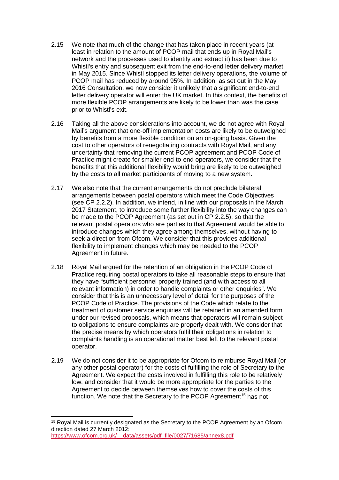- 2.15 We note that much of the change that has taken place in recent years (at least in relation to the amount of PCOP mail that ends up in Royal Mail's network and the processes used to identify and extract it) has been due to Whistl's entry and subsequent exit from the end-to-end letter delivery market in May 2015. Since Whistl stopped its letter delivery operations, the volume of PCOP mail has reduced by around 95%. In addition, as set out in the May 2016 Consultation, we now consider it unlikely that a significant end-to-end letter delivery operator will enter the UK market. In this context, the benefits of more flexible PCOP arrangements are likely to be lower than was the case prior to Whistl's exit.
- 2.16 Taking all the above considerations into account, we do not agree with Royal Mail's argument that one-off implementation costs are likely to be outweighed by benefits from a more flexible condition on an on-going basis. Given the cost to other operators of renegotiating contracts with Royal Mail, and any uncertainty that removing the current PCOP agreement and PCOP Code of Practice might create for smaller end-to-end operators, we consider that the benefits that this additional flexibility would bring are likely to be outweighed by the costs to all market participants of moving to a new system.
- 2.17 We also note that the current arrangements do not preclude bilateral arrangements between postal operators which meet the Code Objectives (see CP 2.2.2). In addition, we intend, in line with our proposals in the March 2017 Statement, to introduce some further flexibility into the way changes can be made to the PCOP Agreement (as set out in CP 2.2.5), so that the relevant postal operators who are parties to that Agreement would be able to introduce changes which they agree among themselves, without having to seek a direction from Ofcom. We consider that this provides additional flexibility to implement changes which may be needed to the PCOP Agreement in future.
- 2.18 Royal Mail argued for the retention of an obligation in the PCOP Code of Practice requiring postal operators to take all reasonable steps to ensure that they have "sufficient personnel properly trained (and with access to all relevant information) in order to handle complaints or other enquiries". We consider that this is an unnecessary level of detail for the purposes of the PCOP Code of Practice. The provisions of the Code which relate to the treatment of customer service enquiries will be retained in an amended form under our revised proposals, which means that operators will remain subject to obligations to ensure complaints are properly dealt with. We consider that the precise means by which operators fulfil their obligations in relation to complaints handling is an operational matter best left to the relevant postal operator.
- 2.19 We do not consider it to be appropriate for Ofcom to reimburse Royal Mail (or any other postal operator) for the costs of fulfilling the role of Secretary to the Agreement. We expect the costs involved in fulfilling this role to be relatively low, and consider that it would be more appropriate for the parties to the Agreement to decide between themselves how to cover the costs of this function. We note that the Secretary to the PCOP Agreement<sup>[15](#page-10-0)</sup> has not

<span id="page-10-0"></span><sup>&</sup>lt;sup>15</sup> Royal Mail is currently designated as the Secretary to the PCOP Agreement by an Ofcom direction dated 27 March 2012: [https://www.ofcom.org.uk/\\_\\_data/assets/pdf\\_file/0027/71685/annex8.pdf](https://www.ofcom.org.uk/__data/assets/pdf_file/0027/71685/annex8.pdf)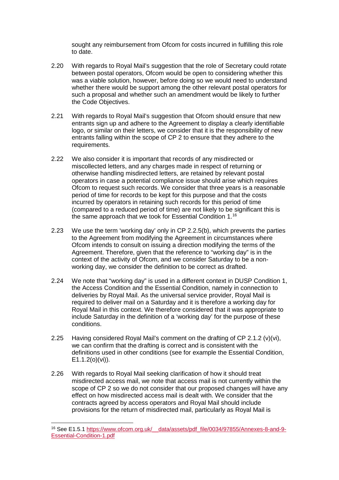sought any reimbursement from Ofcom for costs incurred in fulfilling this role to date.

- 2.20 With regards to Royal Mail's suggestion that the role of Secretary could rotate between postal operators, Ofcom would be open to considering whether this was a viable solution, however, before doing so we would need to understand whether there would be support among the other relevant postal operators for such a proposal and whether such an amendment would be likely to further the Code Objectives.
- 2.21 With regards to Royal Mail's suggestion that Ofcom should ensure that new entrants sign up and adhere to the Agreement to display a clearly identifiable logo, or similar on their letters, we consider that it is the responsibility of new entrants falling within the scope of CP 2 to ensure that they adhere to the requirements.
- 2.22 We also consider it is important that records of any misdirected or miscollected letters, and any charges made in respect of returning or otherwise handling misdirected letters, are retained by relevant postal operators in case a potential compliance issue should arise which requires Ofcom to request such records. We consider that three years is a reasonable period of time for records to be kept for this purpose and that the costs incurred by operators in retaining such records for this period of time (compared to a reduced period of time) are not likely to be significant this is the same approach that we took for Essential Condition 1. [16](#page-11-0)
- 2.23 We use the term 'working day' only in CP 2.2.5(b), which prevents the parties to the Agreement from modifying the Agreement in circumstances where Ofcom intends to consult on issuing a direction modifying the terms of the Agreement. Therefore, given that the reference to "working day" is in the context of the activity of Ofcom, and we consider Saturday to be a nonworking day, we consider the definition to be correct as drafted.
- 2.24 We note that "working day" is used in a different context in DUSP Condition 1, the Access Condition and the Essential Condition, namely in connection to deliveries by Royal Mail. As the universal service provider, Royal Mail is required to deliver mail on a Saturday and it is therefore a working day for Royal Mail in this context. We therefore considered that it was appropriate to include Saturday in the definition of a 'working day' for the purpose of these conditions.
- 2.25 Having considered Royal Mail's comment on the drafting of CP 2.1.2 (v)(vi), we can confirm that the drafting is correct and is consistent with the definitions used in other conditions (see for example the Essential Condition,  $E1.1.2(0)(vi)$ .
- 2.26 With regards to Royal Mail seeking clarification of how it should treat misdirected access mail, we note that access mail is not currently within the scope of CP 2 so we do not consider that our proposed changes will have any effect on how misdirected access mail is dealt with. We consider that the contracts agreed by access operators and Royal Mail should include provisions for the return of misdirected mail, particularly as Royal Mail is

<span id="page-11-0"></span> <sup>16</sup> See E1.5.1 [https://www.ofcom.org.uk/\\_\\_data/assets/pdf\\_file/0034/97855/Annexes-8-and-9-](https://www.ofcom.org.uk/__data/assets/pdf_file/0034/97855/Annexes-8-and-9-Essential-Condition-1.pdf) [Essential-Condition-1.pdf](https://www.ofcom.org.uk/__data/assets/pdf_file/0034/97855/Annexes-8-and-9-Essential-Condition-1.pdf)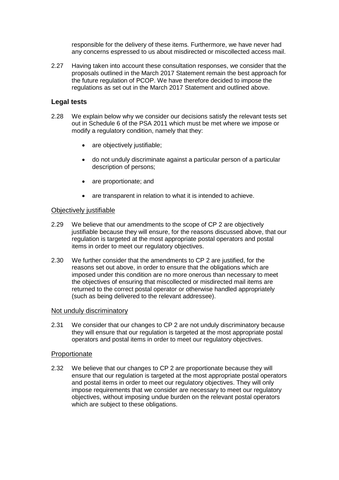responsible for the delivery of these items. Furthermore, we have never had any concerns espressed to us about misdirected or miscollected access mail.

2.27 Having taken into account these consultation responses, we consider that the proposals outlined in the March 2017 Statement remain the best approach for the future regulation of PCOP. We have therefore decided to impose the regulations as set out in the March 2017 Statement and outlined above.

### **Legal tests**

- 2.28 We explain below why we consider our decisions satisfy the relevant tests set out in Schedule 6 of the PSA 2011 which must be met where we impose or modify a regulatory condition, namely that they:
	- are objectively justifiable;
	- do not unduly discriminate against a particular person of a particular description of persons;
	- are proportionate: and
	- are transparent in relation to what it is intended to achieve.

#### Objectively justifiable

- 2.29 We believe that our amendments to the scope of CP 2 are objectively justifiable because they will ensure, for the reasons discussed above, that our regulation is targeted at the most appropriate postal operators and postal items in order to meet our regulatory objectives.
- 2.30 We further consider that the amendments to CP 2 are justified, for the reasons set out above, in order to ensure that the obligations which are imposed under this condition are no more onerous than necessary to meet the objectives of ensuring that miscollected or misdirected mail items are returned to the correct postal operator or otherwise handled appropriately (such as being delivered to the relevant addressee).

#### Not unduly discriminatory

2.31 We consider that our changes to CP 2 are not unduly discriminatory because they will ensure that our regulation is targeted at the most appropriate postal operators and postal items in order to meet our regulatory objectives.

#### Proportionate

2.32 We believe that our changes to CP 2 are proportionate because they will ensure that our regulation is targeted at the most appropriate postal operators and postal items in order to meet our regulatory objectives. They will only impose requirements that we consider are necessary to meet our regulatory objectives, without imposing undue burden on the relevant postal operators which are subject to these obligations.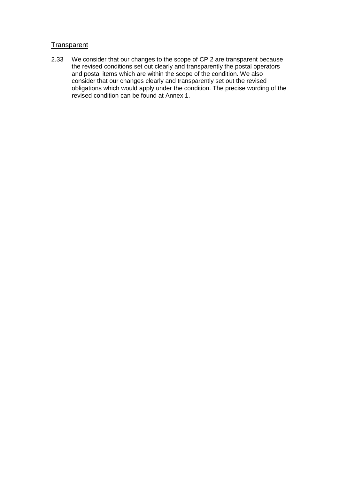## **Transparent**

2.33 We consider that our changes to the scope of CP 2 are transparent because the revised conditions set out clearly and transparently the postal operators and postal items which are within the scope of the condition. We also consider that our changes clearly and transparently set out the revised obligations which would apply under the condition. The precise wording of the revised condition can be found at Annex 1.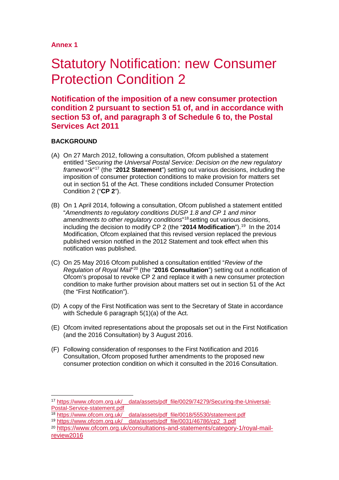## **Annex 1**

# <span id="page-14-0"></span>**Statutory Notification: new Consumer** Protection Condition 2

**Notification of the imposition of a new consumer protection condition 2 pursuant to section 51 of, and in accordance with section 53 of, and paragraph 3 of Schedule 6 to, the Postal Services Act 2011**

### **BACKGROUND**

- (A) On 27 March 2012, following a consultation, Ofcom published a statement entitled "*Securing the Universal Postal Service: Decision on the new regulatory framework*"[17](#page-14-1) (the "**2012 Statement**") setting out various decisions, including the imposition of consumer protection conditions to make provision for matters set out in section 51 of the Act. These conditions included Consumer Protection Condition 2 ("**CP 2**").
- (B) On 1 April 2014, following a consultation, Ofcom published a statement entitled "*Amendments to regulatory conditions DUSP 1.8 and CP 1 and minor amendments to other regulatory conditions*"[18](#page-14-2) setting out various decisions, including the decision to modify CP 2 (the "2014 Modification").<sup>[19](#page-14-3)</sup> In the 2014 Modification, Ofcom explained that this revised version replaced the previous published version notified in the 2012 Statement and took effect when this notification was published.
- (C) On 25 May 2016 Ofcom published a consultation entitled "*Review of the Regulation of Royal Mail*"[20](#page-14-4) (the "**2016 Consultation**") setting out a notification of Ofcom's proposal to revoke CP 2 and replace it with a new consumer protection condition to make further provision about matters set out in section 51 of the Act (the "First Notification").
- (D) A copy of the First Notification was sent to the Secretary of State in accordance with Schedule 6 paragraph 5(1)(a) of the Act.
- (E) Ofcom invited representations about the proposals set out in the First Notification (and the 2016 Consultation) by 3 August 2016.
- (F) Following consideration of responses to the First Notification and 2016 Consultation, Ofcom proposed further amendments to the proposed new consumer protection condition on which it consulted in the 2016 Consultation.

<span id="page-14-1"></span> <sup>17</sup> [https://www.ofcom.org.uk/\\_\\_data/assets/pdf\\_file/0029/74279/Securing-the-Universal-](https://www.ofcom.org.uk/__data/assets/pdf_file/0029/74279/Securing-the-Universal-Postal-Service-statement.pdf)[Postal-Service-statement.pdf](https://www.ofcom.org.uk/__data/assets/pdf_file/0029/74279/Securing-the-Universal-Postal-Service-statement.pdf)<br><sup>18</sup> https://www.ofcom.org.uk/ data/assets/pdf file/0018/55530/statement.pdf

<span id="page-14-2"></span>

<sup>&</sup>lt;sup>19</sup> [https://www.ofcom.org.uk/\\_\\_data/assets/pdf\\_file/0031/46786/cp2\\_3.pdf](https://www.ofcom.org.uk/__data/assets/pdf_file/0031/46786/cp2_3.pdf)

<span id="page-14-4"></span><span id="page-14-3"></span><sup>20</sup> [https://www.ofcom.org.uk/consultations-and-statements/category-1/royal-mail](https://www.ofcom.org.uk/consultations-and-statements/category-1/royal-mail-review2016)[review2016](https://www.ofcom.org.uk/consultations-and-statements/category-1/royal-mail-review2016)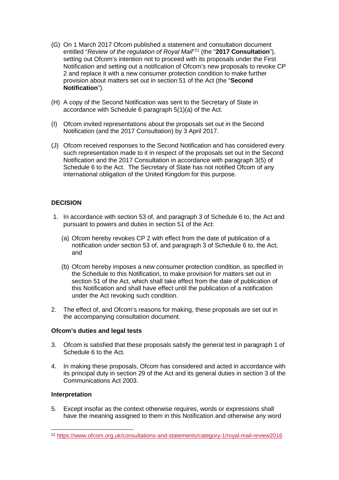- (G) On 1 March 2017 Ofcom published a statement and consultation document entitled "*Review of the regulation of Royal Mail*"[21](#page-15-0) (the "**2017 Consultation**"), setting out Ofcom's intention not to proceed with its proposals under the First Notification and setting out a notification of Ofcom's new proposals to revoke CP 2 and replace it with a new consumer protection condition to make further provision about matters set out in section 51 of the Act (the "**Second Notification**").
- (H) A copy of the Second Notification was sent to the Secretary of State in accordance with Schedule 6 paragraph 5(1)(a) of the Act.
- (I) Ofcom invited representations about the proposals set out in the Second Notification (and the 2017 Consultation) by 3 April 2017.
- (J) Ofcom received responses to the Second Notification and has considered every such representation made to it in respect of the proposals set out in the Second Notification and the 2017 Consultation in accordance with paragraph 3(5) of Schedule 6 to the Act. The Secretary of State has not notified Ofcom of any international obligation of the United Kingdom for this purpose.

### **DECISION**

- 1. In accordance with section 53 of, and paragraph 3 of Schedule 6 to, the Act and pursuant to powers and duties in section 51 of the Act:
	- (a) Ofcom hereby revokes CP 2 with effect from the date of publication of a notification under section 53 of, and paragraph 3 of Schedule 6 to, the Act; and
	- (b) Ofcom hereby imposes a new consumer protection condition, as specified in the Schedule to this Notification, to make provision for matters set out in section 51 of the Act, which shall take effect from the date of publication of this Notification and shall have effect until the publication of a notification under the Act revoking such condition.
- 2. The effect of, and Ofcom's reasons for making, these proposals are set out in the accompanying consultation document.

### **Ofcom's duties and legal tests**

- 3. Ofcom is satisfied that these proposals satisfy the general test in paragraph 1 of Schedule 6 to the Act.
- 4. In making these proposals, Ofcom has considered and acted in accordance with its principal duty in section 29 of the Act and its general duties in section 3 of the Communications Act 2003.

### **Interpretation**

5. Except insofar as the context otherwise requires, words or expressions shall have the meaning assigned to them in this Notification and otherwise any word

<span id="page-15-0"></span> <sup>21</sup> <https://www.ofcom.org.uk/consultations-and-statements/category-1/royal-mail-review2016>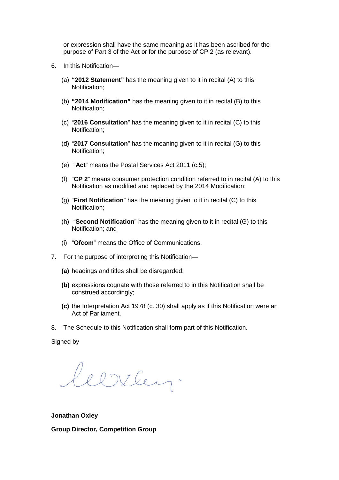or expression shall have the same meaning as it has been ascribed for the purpose of Part 3 of the Act or for the purpose of CP 2 (as relevant).

- 6. In this Notification—
	- (a) **"2012 Statement"** has the meaning given to it in recital (A) to this Notification;
	- (b) **"2014 Modification"** has the meaning given to it in recital (B) to this Notification;
	- (c) "**2016 Consultation**" has the meaning given to it in recital (C) to this Notification;
	- (d) "**2017 Consultation**" has the meaning given to it in recital (G) to this Notification;
	- (e) "**Act**" means the Postal Services Act 2011 (c.5);
	- (f) "**CP 2**" means consumer protection condition referred to in recital (A) to this Notification as modified and replaced by the 2014 Modification;
	- (g) "**First Notification**" has the meaning given to it in recital (C) to this Notification;
	- (h) "**Second Notification**" has the meaning given to it in recital (G) to this Notification; and
	- (i) "**Ofcom**" means the Office of Communications.
- 7. For the purpose of interpreting this Notification—
	- **(a)** headings and titles shall be disregarded;
	- **(b)** expressions cognate with those referred to in this Notification shall be construed accordingly;
	- **(c)** the Interpretation Act 1978 (c. 30) shall apply as if this Notification were an Act of Parliament.
- 8. The Schedule to this Notification shall form part of this Notification.

Signed by

Willey.

**Jonathan Oxley**

**Group Director, Competition Group**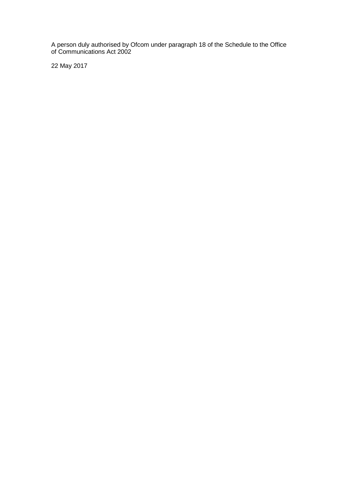A person duly authorised by Ofcom under paragraph 18 of the Schedule to the Office of Communications Act 2002

22 May 2017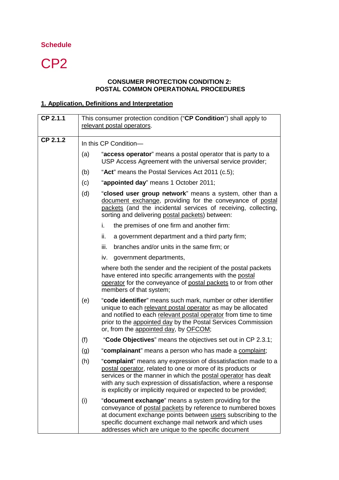## **Schedule**

# CP<sub>2</sub>

## **CONSUMER PROTECTION CONDITION 2: POSTAL COMMON OPERATIONAL PROCEDURES**

## **1. Application, Definitions and Interpretation**

| CP 2.1.1 | This consumer protection condition ("CP Condition") shall apply to<br>relevant postal operators. |                                                                                                                                                                                                                                                                                                                                   |
|----------|--------------------------------------------------------------------------------------------------|-----------------------------------------------------------------------------------------------------------------------------------------------------------------------------------------------------------------------------------------------------------------------------------------------------------------------------------|
| CP 2.1.2 | In this CP Condition-                                                                            |                                                                                                                                                                                                                                                                                                                                   |
|          | (a)                                                                                              | "access operator" means a postal operator that is party to a<br>USP Access Agreement with the universal service provider;                                                                                                                                                                                                         |
|          | (b)                                                                                              | "Act" means the Postal Services Act 2011 (c.5);                                                                                                                                                                                                                                                                                   |
|          | (c)                                                                                              | "appointed day" means 1 October 2011;                                                                                                                                                                                                                                                                                             |
|          | (d)                                                                                              | "closed user group network" means a system, other than a<br>document exchange, providing for the conveyance of postal<br>packets (and the incidental services of receiving, collecting,<br>sorting and delivering postal packets) between:                                                                                        |
|          |                                                                                                  | i.<br>the premises of one firm and another firm:                                                                                                                                                                                                                                                                                  |
|          |                                                                                                  | ii.<br>a government department and a third party firm;                                                                                                                                                                                                                                                                            |
|          |                                                                                                  | branches and/or units in the same firm; or<br>iii.                                                                                                                                                                                                                                                                                |
|          |                                                                                                  | government departments,<br>iv.                                                                                                                                                                                                                                                                                                    |
|          |                                                                                                  | where both the sender and the recipient of the postal packets<br>have entered into specific arrangements with the postal<br>operator for the conveyance of postal packets to or from other<br>members of that system;                                                                                                             |
|          | (e)                                                                                              | "code identifier" means such mark, number or other identifier<br>unique to each relevant postal operator as may be allocated<br>and notified to each relevant postal operator from time to time<br>prior to the appointed day by the Postal Services Commission<br>or, from the appointed day, by OFCOM;                          |
|          | (f)                                                                                              | "Code Objectives" means the objectives set out in CP 2.3.1;                                                                                                                                                                                                                                                                       |
|          | (g)                                                                                              | "complainant" means a person who has made a complaint;                                                                                                                                                                                                                                                                            |
|          | (h)                                                                                              | "complaint" means any expression of dissatisfaction made to a<br>postal operator, related to one or more of its products or<br>services or the manner in which the postal operator has dealt<br>with any such expression of dissatisfaction, where a response<br>is explicitly or implicitly required or expected to be provided; |
|          | (i)                                                                                              | "document exchange" means a system providing for the<br>conveyance of postal packets by reference to numbered boxes<br>at document exchange points between users subscribing to the<br>specific document exchange mail network and which uses<br>addresses which are unique to the specific document                              |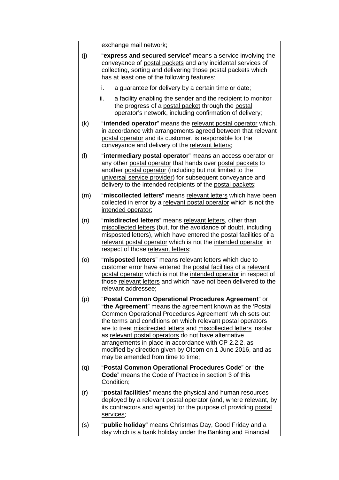|     | exchange mail network;                                                                                                                                                                                                                                                                                                                                                                                                                                                                                                              |
|-----|-------------------------------------------------------------------------------------------------------------------------------------------------------------------------------------------------------------------------------------------------------------------------------------------------------------------------------------------------------------------------------------------------------------------------------------------------------------------------------------------------------------------------------------|
| (j) | "express and secured service" means a service involving the<br>conveyance of postal packets and any incidental services of<br>collecting, sorting and delivering those postal packets which<br>has at least one of the following features:                                                                                                                                                                                                                                                                                          |
|     | i.<br>a guarantee for delivery by a certain time or date;                                                                                                                                                                                                                                                                                                                                                                                                                                                                           |
|     | ii.<br>a facility enabling the sender and the recipient to monitor<br>the progress of a postal packet through the postal<br>operator's network, including confirmation of delivery;                                                                                                                                                                                                                                                                                                                                                 |
| (k) | "intended operator" means the relevant postal operator which,<br>in accordance with arrangements agreed between that relevant<br>postal operator and its customer, is responsible for the<br>conveyance and delivery of the relevant letters;                                                                                                                                                                                                                                                                                       |
| (1) | "intermediary postal operator" means an access operator or<br>any other postal operator that hands over postal packets to<br>another postal operator (including but not limited to the<br>universal service provider) for subsequent conveyance and<br>delivery to the intended recipients of the postal packets;                                                                                                                                                                                                                   |
| (m) | "miscollected letters" means relevant letters which have been<br>collected in error by a relevant postal operator which is not the<br>intended operator;                                                                                                                                                                                                                                                                                                                                                                            |
| (n) | "misdirected letters" means relevant letters, other than<br>miscollected letters (but, for the avoidance of doubt, including<br>misposted letters), which have entered the postal facilities of a<br>relevant postal operator which is not the intended operator in<br>respect of those relevant letters;                                                                                                                                                                                                                           |
| (o) | "misposted letters" means relevant letters which due to<br>customer error have entered the postal facilities of a relevant<br>postal operator which is not the intended operator in respect of<br>those relevant letters and which have not been delivered to the<br>relevant addressee;                                                                                                                                                                                                                                            |
| (p) | "Postal Common Operational Procedures Agreement" or<br>"the Agreement" means the agreement known as the 'Postal<br>Common Operational Procedures Agreement' which sets out<br>the terms and conditions on which relevant postal operators<br>are to treat misdirected letters and miscollected letters insofar<br>as relevant postal operators do not have alternative<br>arrangements in place in accordance with CP 2.2.2, as<br>modified by direction given by Ofcom on 1 June 2016, and as<br>may be amended from time to time; |
| (q) | "Postal Common Operational Procedures Code" or "the<br><b>Code</b> " means the Code of Practice in section 3 of this<br>Condition;                                                                                                                                                                                                                                                                                                                                                                                                  |
| (r) | "postal facilities" means the physical and human resources<br>deployed by a relevant postal operator (and, where relevant, by<br>its contractors and agents) for the purpose of providing postal<br>services;                                                                                                                                                                                                                                                                                                                       |
| (s) | "public holiday" means Christmas Day, Good Friday and a<br>day which is a bank holiday under the Banking and Financial                                                                                                                                                                                                                                                                                                                                                                                                              |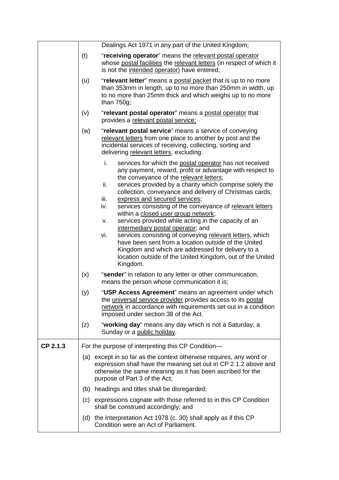|          | Dealings Act 1971 in any part of the United Kingdom;                                                                                                                                                                                                                                                                                                                                                                                                                                                                                                                                                                                                                                                                                                                                                                                                                                                                                                                                                   |  |
|----------|--------------------------------------------------------------------------------------------------------------------------------------------------------------------------------------------------------------------------------------------------------------------------------------------------------------------------------------------------------------------------------------------------------------------------------------------------------------------------------------------------------------------------------------------------------------------------------------------------------------------------------------------------------------------------------------------------------------------------------------------------------------------------------------------------------------------------------------------------------------------------------------------------------------------------------------------------------------------------------------------------------|--|
|          | (t)<br>"receiving operator" means the relevant postal operator<br>whose postal facilities the relevant letters (in respect of which it<br>is not the intended operator) have entered;                                                                                                                                                                                                                                                                                                                                                                                                                                                                                                                                                                                                                                                                                                                                                                                                                  |  |
|          | (u)<br>"relevant letter" means a postal packet that is up to no more<br>than 353mm in length, up to no more than 250mm in width, up<br>to no more than 25mm thick and which weighs up to no more<br>than 750g;                                                                                                                                                                                                                                                                                                                                                                                                                                                                                                                                                                                                                                                                                                                                                                                         |  |
|          | "relevant postal operator" means a postal operator that<br>(v)<br>provides a relevant postal service;                                                                                                                                                                                                                                                                                                                                                                                                                                                                                                                                                                                                                                                                                                                                                                                                                                                                                                  |  |
|          | (w)<br>"relevant postal service" means a service of conveying<br>relevant letters from one place to another by post and the<br>incidental services of receiving, collecting, sorting and<br>delivering relevant letters, excluding:                                                                                                                                                                                                                                                                                                                                                                                                                                                                                                                                                                                                                                                                                                                                                                    |  |
|          | i.<br>services for which the postal operator has not received<br>any payment, reward, profit or advantage with respect to<br>the conveyance of the relevant letters;<br>ii.<br>services provided by a charity which comprise solely the<br>collection, conveyance and delivery of Christmas cards;<br>iii.<br>express and secured services;<br>services consisting of the conveyance of relevant letters<br>iv.<br>within a closed user group network;<br>services provided while acting in the capacity of an<br>V.<br>intermediary postal operator; and<br>services consisting of conveying relevant letters, which<br>vi.<br>have been sent from a location outside of the United<br>Kingdom and which are addressed for delivery to a<br>location outside of the United Kingdom, out of the United<br>Kingdom.<br>"sender" in relation to any letter or other communication,<br>(x)<br>means the person whose communication it is;<br>(y)<br>"USP Access Agreement" means an agreement under which |  |
|          | the universal service provider provides access to its postal<br>network in accordance with requirements set out in a condition<br>imposed under section 38 of the Act.                                                                                                                                                                                                                                                                                                                                                                                                                                                                                                                                                                                                                                                                                                                                                                                                                                 |  |
|          | "working day" means any day which is not a Saturday, a<br>(z)<br>Sunday or a public holiday.                                                                                                                                                                                                                                                                                                                                                                                                                                                                                                                                                                                                                                                                                                                                                                                                                                                                                                           |  |
| CP 2.1.3 | For the purpose of interpreting this CP Condition-                                                                                                                                                                                                                                                                                                                                                                                                                                                                                                                                                                                                                                                                                                                                                                                                                                                                                                                                                     |  |
|          | (a) except in so far as the context otherwise requires, any word or<br>expression shall have the meaning set out in CP 2.1.2 above and<br>otherwise the same meaning as it has been ascribed for the<br>purpose of Part 3 of the Act;                                                                                                                                                                                                                                                                                                                                                                                                                                                                                                                                                                                                                                                                                                                                                                  |  |
|          | (b) headings and titles shall be disregarded;                                                                                                                                                                                                                                                                                                                                                                                                                                                                                                                                                                                                                                                                                                                                                                                                                                                                                                                                                          |  |
|          | (c) expressions cognate with those referred to in this CP Condition<br>shall be construed accordingly; and                                                                                                                                                                                                                                                                                                                                                                                                                                                                                                                                                                                                                                                                                                                                                                                                                                                                                             |  |
|          | (d) the Interpretation Act 1978 (c. 30) shall apply as if this CP<br>Condition were an Act of Parliament.                                                                                                                                                                                                                                                                                                                                                                                                                                                                                                                                                                                                                                                                                                                                                                                                                                                                                              |  |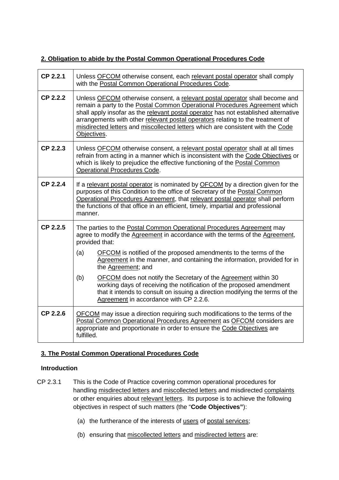## **2. Obligation to abide by the Postal Common Operational Procedures Code**

| CP 2.2.1 | Unless OFCOM otherwise consent, each relevant postal operator shall comply<br>with the Postal Common Operational Procedures Code.                                                                                                                                                                                                                                                                                                    |  |  |
|----------|--------------------------------------------------------------------------------------------------------------------------------------------------------------------------------------------------------------------------------------------------------------------------------------------------------------------------------------------------------------------------------------------------------------------------------------|--|--|
| CP 2.2.2 | Unless OFCOM otherwise consent, a relevant postal operator shall become and<br>remain a party to the Postal Common Operational Procedures Agreement which<br>shall apply insofar as the relevant postal operator has not established alternative<br>arrangements with other relevant postal operators relating to the treatment of<br>misdirected letters and miscollected letters which are consistent with the Code<br>Objectives. |  |  |
| CP 2.2.3 | Unless OFCOM otherwise consent, a relevant postal operator shall at all times<br>refrain from acting in a manner which is inconsistent with the Code Objectives or<br>which is likely to prejudice the effective functioning of the Postal Common<br><b>Operational Procedures Code.</b>                                                                                                                                             |  |  |
| CP 2.2.4 | If a relevant postal operator is nominated by OFCOM by a direction given for the<br>purposes of this Condition to the office of Secretary of the Postal Common<br>Operational Procedures Agreement, that relevant postal operator shall perform<br>the functions of that office in an efficient, timely, impartial and professional<br>manner.                                                                                       |  |  |
| CP 2.2.5 | The parties to the Postal Common Operational Procedures Agreement may<br>agree to modify the Agreement in accordance with the terms of the Agreement,<br>provided that:<br>OFCOM is notified of the proposed amendments to the terms of the<br>(a)                                                                                                                                                                                   |  |  |
|          | Agreement in the manner, and containing the information, provided for in<br>the Agreement; and                                                                                                                                                                                                                                                                                                                                       |  |  |
|          | (b)<br><b>OFCOM</b> does not notify the Secretary of the Agreement within 30<br>working days of receiving the notification of the proposed amendment<br>that it intends to consult on issuing a direction modifying the terms of the<br>Agreement in accordance with CP 2.2.6.                                                                                                                                                       |  |  |
| CP 2.2.6 | OFCOM may issue a direction requiring such modifications to the terms of the<br>Postal Common Operational Procedures Agreement as OFCOM considers are<br>appropriate and proportionate in order to ensure the Code Objectives are<br>fulfilled.                                                                                                                                                                                      |  |  |

## **3. The Postal Common Operational Procedures Code**

## **Introduction**

- CP 2.3.1 This is the Code of Practice covering common operational procedures for handling misdirected letters and miscollected letters and misdirected complaints or other enquiries about relevant letters. Its purpose is to achieve the following objectives in respect of such matters (the "**Code Objectives"**):
	- (a) the furtherance of the interests of users of postal services;
	- (b) ensuring that miscollected letters and misdirected letters are: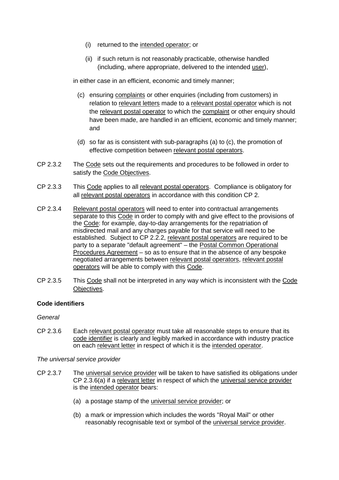- (i) returned to the intended operator; or
- (ii) if such return is not reasonably practicable, otherwise handled (including, where appropriate, delivered to the intended user),

in either case in an efficient, economic and timely manner;

- (c) ensuring complaints or other enquiries (including from customers) in relation to relevant letters made to a relevant postal operator which is not the relevant postal operator to which the complaint or other enquiry should have been made, are handled in an efficient, economic and timely manner; and
- (d) so far as is consistent with sub-paragraphs (a) to (c), the promotion of effective competition between relevant postal operators.
- CP 2.3.2 The Code sets out the requirements and procedures to be followed in order to satisfy the Code Objectives.
- CP 2.3.3 This Code applies to all relevant postal operators. Compliance is obligatory for all relevant postal operators in accordance with this condition CP 2.
- CP 2.3.4 Relevant postal operators will need to enter into contractual arrangements separate to this Code in order to comply with and give effect to the provisions of the Code: for example, day-to-day arrangements for the repatriation of misdirected mail and any charges payable for that service will need to be established. Subject to CP 2.2.2, relevant postal operators are required to be party to a separate "default agreement" – the Postal Common Operational Procedures Agreement – so as to ensure that in the absence of any bespoke negotiated arrangements between relevant postal operators, relevant postal operators will be able to comply with this Code.
- CP 2.3.5 This Code shall not be interpreted in any way which is inconsistent with the Code Objectives.

### **Code identifiers**

#### *General*

CP 2.3.6 Each relevant postal operator must take all reasonable steps to ensure that its code identifier is clearly and legibly marked in accordance with industry practice on each relevant letter in respect of which it is the intended operator.

*The universal service provider*

- CP 2.3.7 The universal service provider will be taken to have satisfied its obligations under CP 2.3.6(a) if a relevant letter in respect of which the universal service provider is the intended operator bears:
	- (a) a postage stamp of the universal service provider; or
	- (b) a mark or impression which includes the words "Royal Mail" or other reasonably recognisable text or symbol of the universal service provider.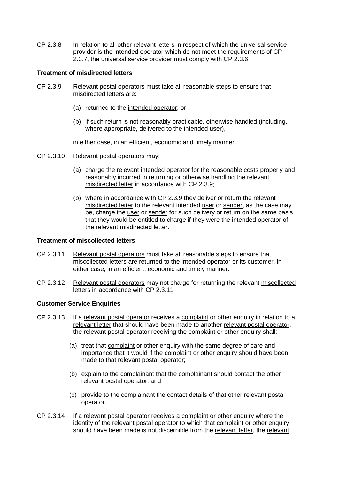CP 2.3.8 In relation to all other relevant letters in respect of which the universal service provider is the intended operator which do not meet the requirements of CP 2.3.7, the universal service provider must comply with CP 2.3.6.

#### **Treatment of misdirected letters**

- CP 2.3.9 Relevant postal operators must take all reasonable steps to ensure that misdirected letters are:
	- (a) returned to the intended operator; or
	- (b) if such return is not reasonably practicable, otherwise handled (including, where appropriate, delivered to the intended user),

in either case, in an efficient, economic and timely manner.

- CP 2.3.10 Relevant postal operators may:
	- (a) charge the relevant intended operator for the reasonable costs properly and reasonably incurred in returning or otherwise handling the relevant misdirected letter in accordance with CP 2.3.9;
	- (b) where in accordance with CP 2.3.9 they deliver or return the relevant misdirected letter to the relevant intended user or sender, as the case may be, charge the user or sender for such delivery or return on the same basis that they would be entitled to charge if they were the intended operator of the relevant misdirected letter.

#### **Treatment of miscollected letters**

- CP 2.3.11 Relevant postal operators must take all reasonable steps to ensure that miscollected letters are returned to the intended operator or its customer, in either case, in an efficient, economic and timely manner.
- CP 2.3.12 Relevant postal operators may not charge for returning the relevant miscollected letters in accordance with CP 2.3.11

### **Customer Service Enquiries**

- CP 2.3.13 If a relevant postal operator receives a complaint or other enquiry in relation to a relevant letter that should have been made to another relevant postal operator, the relevant postal operator receiving the complaint or other enquiry shall:
	- (a) treat that complaint or other enquiry with the same degree of care and importance that it would if the complaint or other enquiry should have been made to that relevant postal operator;
	- (b) explain to the complainant that the complainant should contact the other relevant postal operator; and
	- (c) provide to the complainant the contact details of that other relevant postal operator.
- CP 2.3.14 If a relevant postal operator receives a complaint or other enquiry where the identity of the relevant postal operator to which that complaint or other enquiry should have been made is not discernible from the relevant letter, the relevant